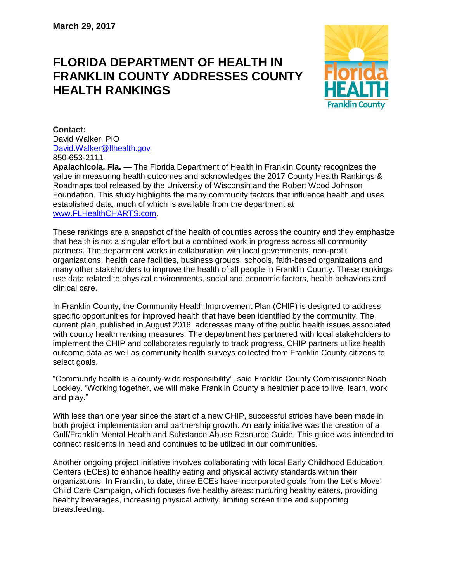## **FLORIDA DEPARTMENT OF HEALTH IN FRANKLIN COUNTY ADDRESSES COUNTY HEALTH RANKINGS**



**Contact:**  David Walker, PIO [David.Walker@flhealth.gov](mailto:David.Walker@flhealth.gov) 850-653-2111

**Apalachicola, Fla.** — The Florida Department of Health in Franklin County recognizes the value in measuring health outcomes and acknowledges the 2017 County Health Rankings & Roadmaps tool released by the University of Wisconsin and the Robert Wood Johnson Foundation. This study highlights the many community factors that influence health and uses established data, much of which is available from the department at [www.FLHealthCHARTS.com.](http://www.flhealthcharts.com/)

These rankings are a snapshot of the health of counties across the country and they emphasize that health is not a singular effort but a combined work in progress across all community partners. The department works in collaboration with local governments, non-profit organizations, health care facilities, business groups, schools, faith-based organizations and many other stakeholders to improve the health of all people in Franklin County. These rankings use data related to physical environments, social and economic factors, health behaviors and clinical care.

In Franklin County, the Community Health Improvement Plan (CHIP) is designed to address specific opportunities for improved health that have been identified by the community. The current plan, published in August 2016, addresses many of the public health issues associated with county health ranking measures. The department has partnered with local stakeholders to implement the CHIP and collaborates regularly to track progress. CHIP partners utilize health outcome data as well as community health surveys collected from Franklin County citizens to select goals.

"Community health is a county-wide responsibility", said Franklin County Commissioner Noah Lockley. "Working together, we will make Franklin County a healthier place to live, learn, work and play."

With less than one year since the start of a new CHIP, successful strides have been made in both project implementation and partnership growth. An early initiative was the creation of a Gulf/Franklin Mental Health and Substance Abuse Resource Guide. This guide was intended to connect residents in need and continues to be utilized in our communities.

Another ongoing project initiative involves collaborating with local Early Childhood Education Centers (ECEs) to enhance healthy eating and physical activity standards within their organizations. In Franklin, to date, three ECEs have incorporated goals from the Let's Move! Child Care Campaign, which focuses five healthy areas: nurturing healthy eaters, providing healthy beverages, increasing physical activity, limiting screen time and supporting breastfeeding.